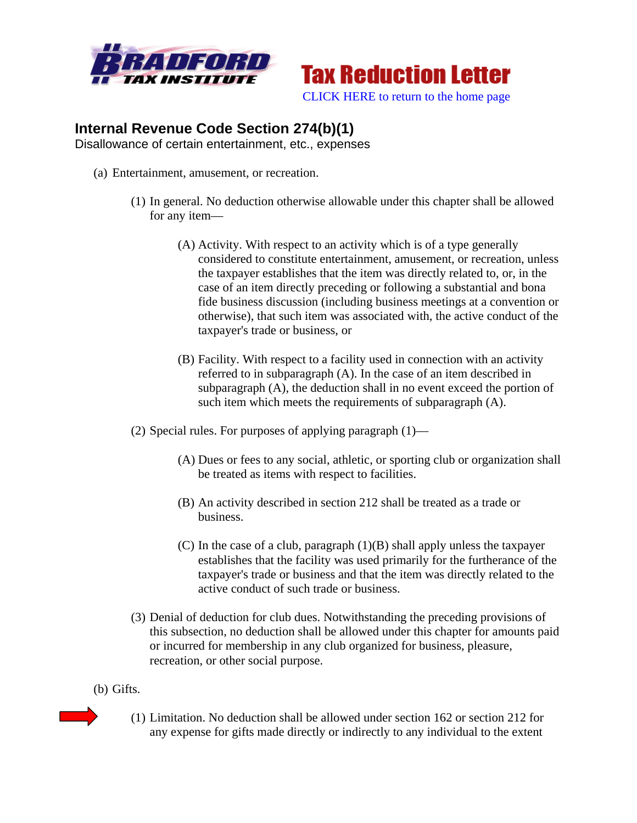



## **Internal Revenue Code Section 274(b)(1)**

Disallowance of certain entertainment, etc., expenses

- (a) Entertainment, amusement, or recreation.
	- (1) In general. No deduction otherwise allowable under this chapter shall be allowed for any item—
		- (A) Activity. With respect to an activity which is of a type generally considered to constitute entertainment, amusement, or recreation, unless the taxpayer establishes that the item was directly related to, or, in the case of an item directly preceding or following a substantial and bona fide business discussion (including business meetings at a convention or otherwise), that such item was associated with, the active conduct of the taxpayer's trade or business, or
		- (B) Facility. With respect to a facility used in connection with an activity referred to in subparagraph (A). In the case of an item described in subparagraph (A), the deduction shall in no event exceed the portion of such item which meets the requirements of subparagraph (A).
	- (2) Special rules. For purposes of applying paragraph  $(1)$ 
		- (A) Dues or fees to any social, athletic, or sporting club or organization shall be treated as items with respect to facilities.
		- (B) An activity described in section 212 shall be treated as a trade or business.
		- (C) In the case of a club, paragraph  $(1)(B)$  shall apply unless the taxpayer establishes that the facility was used primarily for the furtherance of the taxpayer's trade or business and that the item was directly related to the active conduct of such trade or business.
	- (3) Denial of deduction for club dues. Notwithstanding the preceding provisions of this subsection, no deduction shall be allowed under this chapter for amounts paid or incurred for membership in any club organized for business, pleasure, recreation, or other social purpose.
- (b) Gifts.
	- (1) Limitation. No deduction shall be allowed under section 162 or section 212 for any expense for gifts made directly or indirectly to any individual to the extent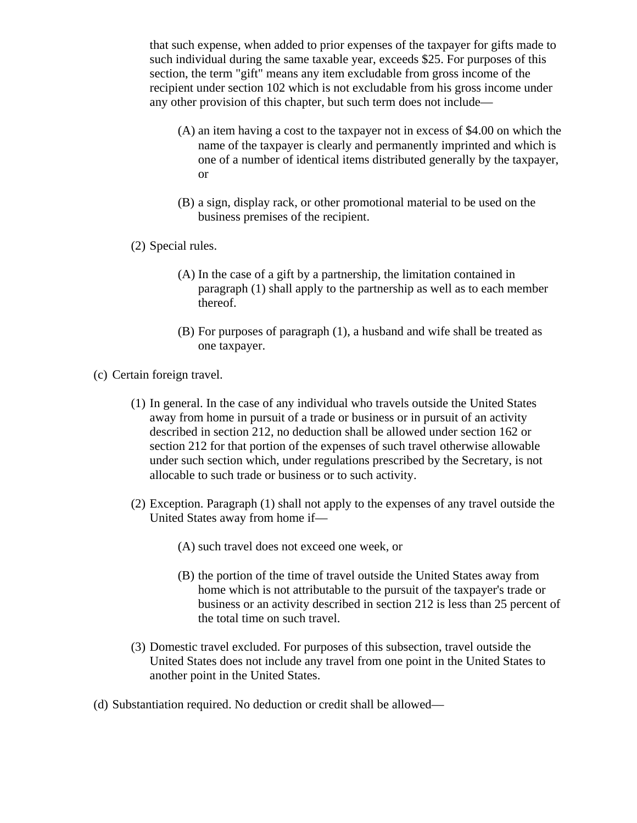that such expense, when added to prior expenses of the taxpayer for gifts made to such individual during the same taxable year, exceeds \$25. For purposes of this section, the term "gift" means any item excludable from gross income of the recipient under section 102 which is not excludable from his gross income under any other provision of this chapter, but such term does not include—

- (A) an item having a cost to the taxpayer not in excess of \$4.00 on which the name of the taxpayer is clearly and permanently imprinted and which is one of a number of identical items distributed generally by the taxpayer, or
- (B) a sign, display rack, or other promotional material to be used on the business premises of the recipient.
- (2) Special rules.
	- (A) In the case of a gift by a partnership, the limitation contained in paragraph (1) shall apply to the partnership as well as to each member thereof.
	- (B) For purposes of paragraph (1), a husband and wife shall be treated as one taxpayer.
- (c) Certain foreign travel.
	- (1) In general. In the case of any individual who travels outside the United States away from home in pursuit of a trade or business or in pursuit of an activity described in section 212, no deduction shall be allowed under section 162 or section 212 for that portion of the expenses of such travel otherwise allowable under such section which, under regulations prescribed by the Secretary, is not allocable to such trade or business or to such activity.
	- (2) Exception. Paragraph (1) shall not apply to the expenses of any travel outside the United States away from home if—
		- (A) such travel does not exceed one week, or
		- (B) the portion of the time of travel outside the United States away from home which is not attributable to the pursuit of the taxpayer's trade or business or an activity described in section 212 is less than 25 percent of the total time on such travel.
	- (3) Domestic travel excluded. For purposes of this subsection, travel outside the United States does not include any travel from one point in the United States to another point in the United States.
- (d) Substantiation required. No deduction or credit shall be allowed—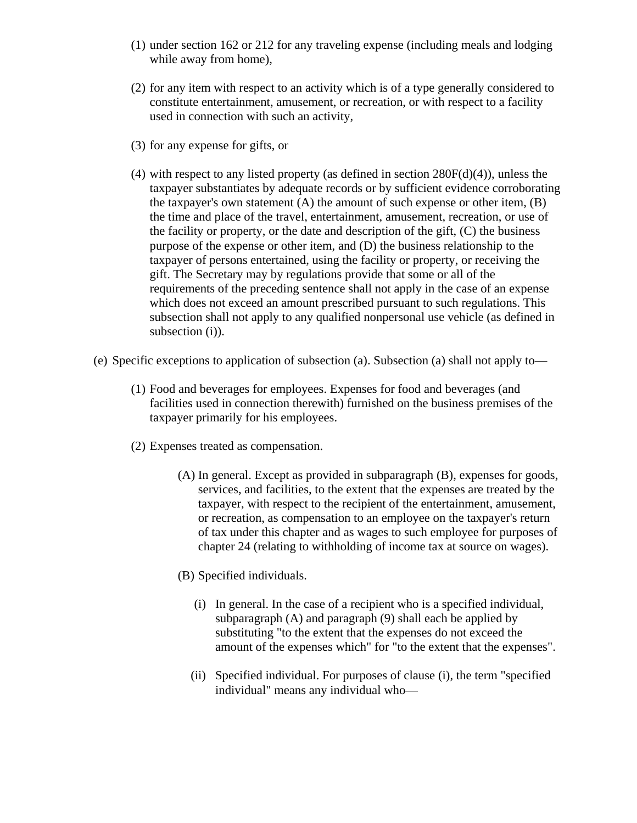- (1) under section 162 or 212 for any traveling expense (including meals and lodging while away from home),
- (2) for any item with respect to an activity which is of a type generally considered to constitute entertainment, amusement, or recreation, or with respect to a facility used in connection with such an activity,
- (3) for any expense for gifts, or
- (4) with respect to any listed property (as defined in section 280F(d)(4)), unless the taxpayer substantiates by adequate records or by sufficient evidence corroborating the taxpayer's own statement  $(A)$  the amount of such expense or other item,  $(B)$ the time and place of the travel, entertainment, amusement, recreation, or use of the facility or property, or the date and description of the gift,  $(C)$  the business purpose of the expense or other item, and (D) the business relationship to the taxpayer of persons entertained, using the facility or property, or receiving the gift. The Secretary may by regulations provide that some or all of the requirements of the preceding sentence shall not apply in the case of an expense which does not exceed an amount prescribed pursuant to such regulations. This subsection shall not apply to any qualified nonpersonal use vehicle (as defined in subsection (i)).
- (e) Specific exceptions to application of subsection (a). Subsection (a) shall not apply to—
	- (1) Food and beverages for employees. Expenses for food and beverages (and facilities used in connection therewith) furnished on the business premises of the taxpayer primarily for his employees.
	- (2) Expenses treated as compensation.
		- (A) In general. Except as provided in subparagraph (B), expenses for goods, services, and facilities, to the extent that the expenses are treated by the taxpayer, with respect to the recipient of the entertainment, amusement, or recreation, as compensation to an employee on the taxpayer's return of tax under this chapter and as wages to such employee for purposes of chapter 24 (relating to withholding of income tax at source on wages).
		- (B) Specified individuals.
			- (i) In general. In the case of a recipient who is a specified individual, subparagraph (A) and paragraph (9) shall each be applied by substituting "to the extent that the expenses do not exceed the amount of the expenses which" for "to the extent that the expenses".
			- (ii) Specified individual. For purposes of clause (i), the term "specified individual" means any individual who—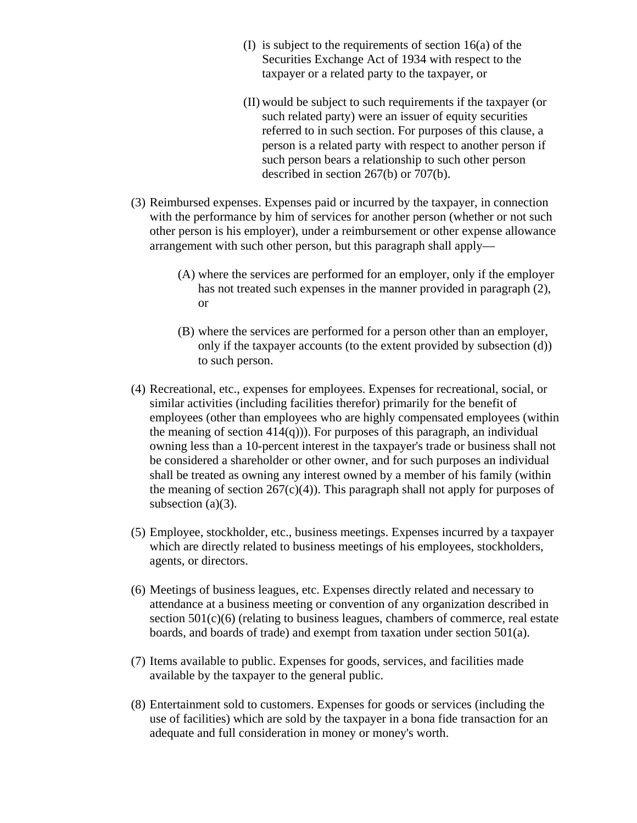- (I) is subject to the requirements of section 16(a) of the Securities Exchange Act of 1934 with respect to the taxpayer or a related party to the taxpayer, or
- (II) would be subject to such requirements if the taxpayer (or such related party) were an issuer of equity securities referred to in such section. For purposes of this clause, a person is a related party with respect to another person if such person bears a relationship to such other person described in section 267(b) or 707(b).
- (3) Reimbursed expenses. Expenses paid or incurred by the taxpayer, in connection with the performance by him of services for another person (whether or not such other person is his employer), under a reimbursement or other expense allowance arrangement with such other person, but this paragraph shall apply—
	- (A) where the services are performed for an employer, only if the employer has not treated such expenses in the manner provided in paragraph (2), or
	- (B) where the services are performed for a person other than an employer, only if the taxpayer accounts (to the extent provided by subsection (d)) to such person.
- (4) Recreational, etc., expenses for employees. Expenses for recreational, social, or similar activities (including facilities therefor) primarily for the benefit of employees (other than employees who are highly compensated employees (within the meaning of section  $414(q)$ )). For purposes of this paragraph, an individual owning less than a 10-percent interest in the taxpayer's trade or business shall not be considered a shareholder or other owner, and for such purposes an individual shall be treated as owning any interest owned by a member of his family (within the meaning of section  $267(c)(4)$ ). This paragraph shall not apply for purposes of subsection (a)(3).
- (5) Employee, stockholder, etc., business meetings. Expenses incurred by a taxpayer which are directly related to business meetings of his employees, stockholders, agents, or directors.
- (6) Meetings of business leagues, etc. Expenses directly related and necessary to attendance at a business meeting or convention of any organization described in section 501(c)(6) (relating to business leagues, chambers of commerce, real estate boards, and boards of trade) and exempt from taxation under section 501(a).
- (7) Items available to public. Expenses for goods, services, and facilities made available by the taxpayer to the general public.
- (8) Entertainment sold to customers. Expenses for goods or services (including the use of facilities) which are sold by the taxpayer in a bona fide transaction for an adequate and full consideration in money or money's worth.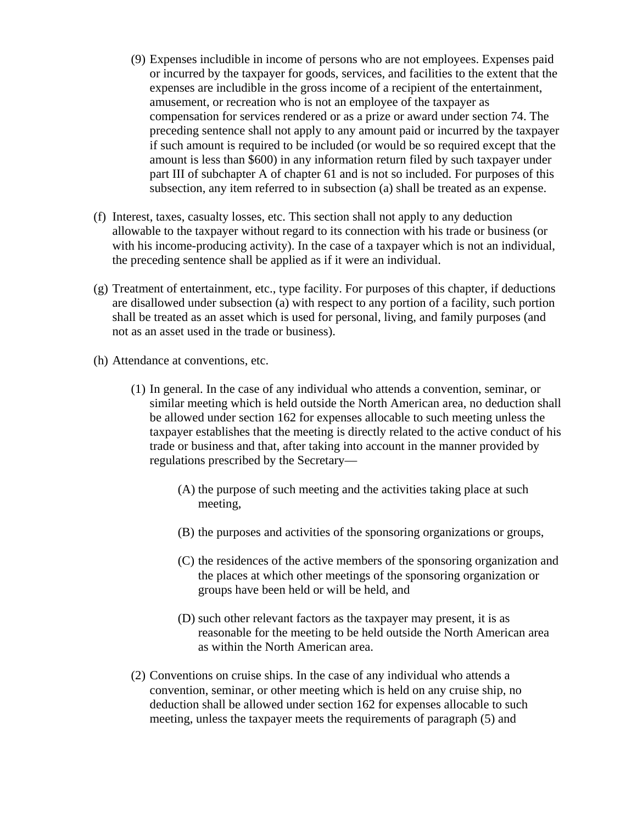- (9) Expenses includible in income of persons who are not employees. Expenses paid or incurred by the taxpayer for goods, services, and facilities to the extent that the expenses are includible in the gross income of a recipient of the entertainment, amusement, or recreation who is not an employee of the taxpayer as compensation for services rendered or as a prize or award under section 74. The preceding sentence shall not apply to any amount paid or incurred by the taxpayer if such amount is required to be included (or would be so required except that the amount is less than \$600) in any information return filed by such taxpayer under part III of subchapter A of chapter 61 and is not so included. For purposes of this subsection, any item referred to in subsection (a) shall be treated as an expense.
- (f) Interest, taxes, casualty losses, etc. This section shall not apply to any deduction allowable to the taxpayer without regard to its connection with his trade or business (or with his income-producing activity). In the case of a taxpayer which is not an individual, the preceding sentence shall be applied as if it were an individual.
- (g) Treatment of entertainment, etc., type facility. For purposes of this chapter, if deductions are disallowed under subsection (a) with respect to any portion of a facility, such portion shall be treated as an asset which is used for personal, living, and family purposes (and not as an asset used in the trade or business).
- (h) Attendance at conventions, etc.
	- (1) In general. In the case of any individual who attends a convention, seminar, or similar meeting which is held outside the North American area, no deduction shall be allowed under section 162 for expenses allocable to such meeting unless the taxpayer establishes that the meeting is directly related to the active conduct of his trade or business and that, after taking into account in the manner provided by regulations prescribed by the Secretary—
		- (A) the purpose of such meeting and the activities taking place at such meeting,
		- (B) the purposes and activities of the sponsoring organizations or groups,
		- (C) the residences of the active members of the sponsoring organization and the places at which other meetings of the sponsoring organization or groups have been held or will be held, and
		- (D) such other relevant factors as the taxpayer may present, it is as reasonable for the meeting to be held outside the North American area as within the North American area.
	- (2) Conventions on cruise ships. In the case of any individual who attends a convention, seminar, or other meeting which is held on any cruise ship, no deduction shall be allowed under section 162 for expenses allocable to such meeting, unless the taxpayer meets the requirements of paragraph (5) and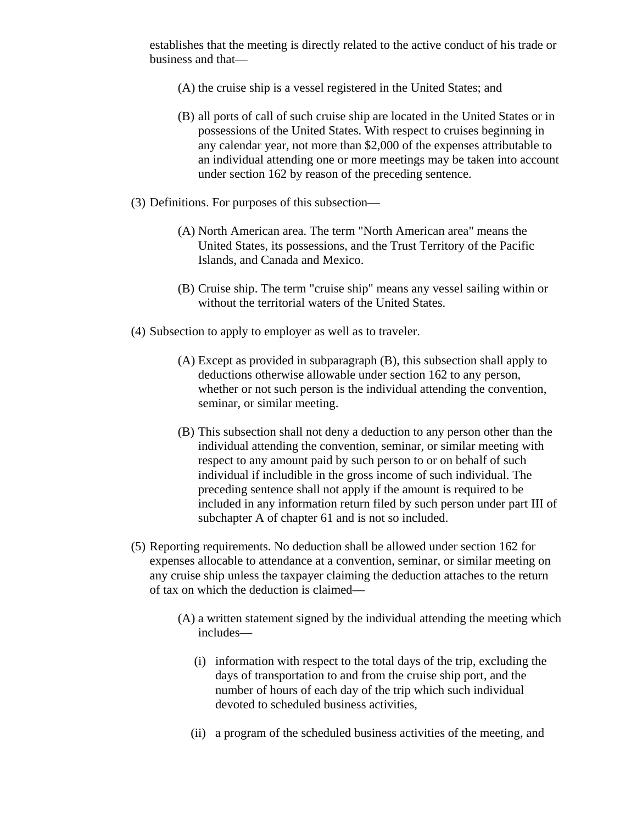establishes that the meeting is directly related to the active conduct of his trade or business and that—

- (A) the cruise ship is a vessel registered in the United States; and
- (B) all ports of call of such cruise ship are located in the United States or in possessions of the United States. With respect to cruises beginning in any calendar year, not more than \$2,000 of the expenses attributable to an individual attending one or more meetings may be taken into account under section 162 by reason of the preceding sentence.
- (3) Definitions. For purposes of this subsection—
	- (A) North American area. The term "North American area" means the United States, its possessions, and the Trust Territory of the Pacific Islands, and Canada and Mexico.
	- (B) Cruise ship. The term "cruise ship" means any vessel sailing within or without the territorial waters of the United States.
- (4) Subsection to apply to employer as well as to traveler.
	- (A) Except as provided in subparagraph (B), this subsection shall apply to deductions otherwise allowable under section 162 to any person, whether or not such person is the individual attending the convention, seminar, or similar meeting.
	- (B) This subsection shall not deny a deduction to any person other than the individual attending the convention, seminar, or similar meeting with respect to any amount paid by such person to or on behalf of such individual if includible in the gross income of such individual. The preceding sentence shall not apply if the amount is required to be included in any information return filed by such person under part III of subchapter A of chapter 61 and is not so included.
- (5) Reporting requirements. No deduction shall be allowed under section 162 for expenses allocable to attendance at a convention, seminar, or similar meeting on any cruise ship unless the taxpayer claiming the deduction attaches to the return of tax on which the deduction is claimed—
	- (A) a written statement signed by the individual attending the meeting which includes—
		- (i) information with respect to the total days of the trip, excluding the days of transportation to and from the cruise ship port, and the number of hours of each day of the trip which such individual devoted to scheduled business activities,
		- (ii) a program of the scheduled business activities of the meeting, and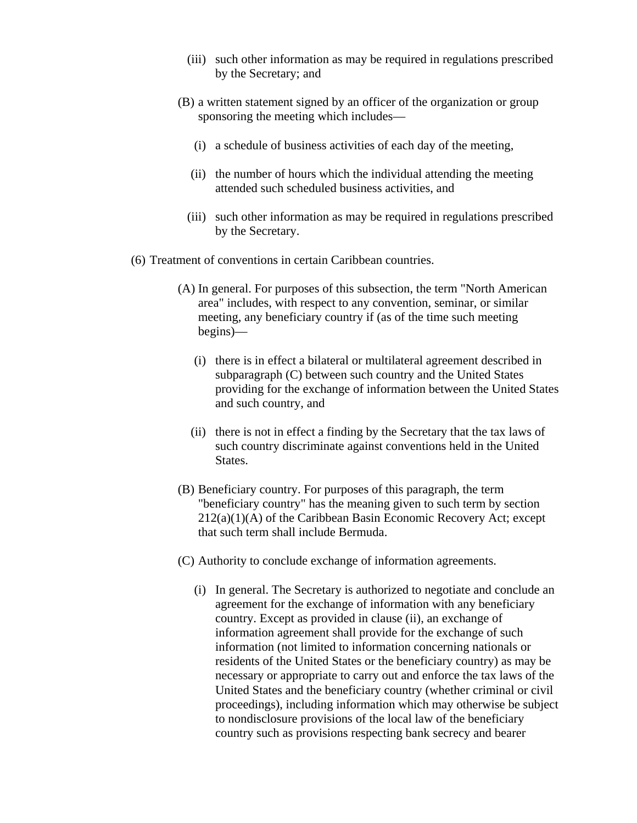- (iii) such other information as may be required in regulations prescribed by the Secretary; and
- (B) a written statement signed by an officer of the organization or group sponsoring the meeting which includes—
	- (i) a schedule of business activities of each day of the meeting,
	- (ii) the number of hours which the individual attending the meeting attended such scheduled business activities, and
	- (iii) such other information as may be required in regulations prescribed by the Secretary.
- (6) Treatment of conventions in certain Caribbean countries.
	- (A) In general. For purposes of this subsection, the term "North American area" includes, with respect to any convention, seminar, or similar meeting, any beneficiary country if (as of the time such meeting begins)—
		- (i) there is in effect a bilateral or multilateral agreement described in subparagraph (C) between such country and the United States providing for the exchange of information between the United States and such country, and
		- (ii) there is not in effect a finding by the Secretary that the tax laws of such country discriminate against conventions held in the United States.
	- (B) Beneficiary country. For purposes of this paragraph, the term "beneficiary country" has the meaning given to such term by section 212(a)(1)(A) of the Caribbean Basin Economic Recovery Act; except that such term shall include Bermuda.
	- (C) Authority to conclude exchange of information agreements.
		- (i) In general. The Secretary is authorized to negotiate and conclude an agreement for the exchange of information with any beneficiary country. Except as provided in clause (ii), an exchange of information agreement shall provide for the exchange of such information (not limited to information concerning nationals or residents of the United States or the beneficiary country) as may be necessary or appropriate to carry out and enforce the tax laws of the United States and the beneficiary country (whether criminal or civil proceedings), including information which may otherwise be subject to nondisclosure provisions of the local law of the beneficiary country such as provisions respecting bank secrecy and bearer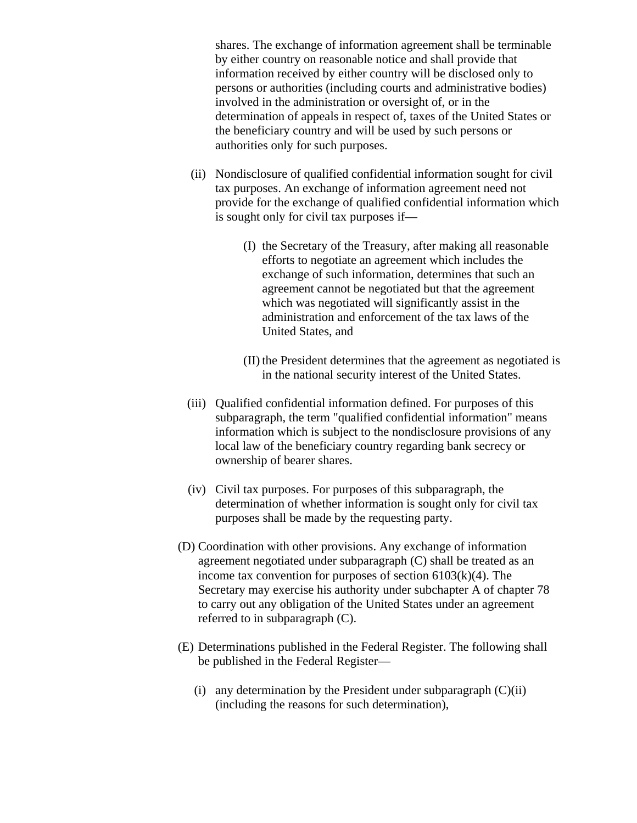shares. The exchange of information agreement shall be terminable by either country on reasonable notice and shall provide that information received by either country will be disclosed only to persons or authorities (including courts and administrative bodies) involved in the administration or oversight of, or in the determination of appeals in respect of, taxes of the United States or the beneficiary country and will be used by such persons or authorities only for such purposes.

- (ii) Nondisclosure of qualified confidential information sought for civil tax purposes. An exchange of information agreement need not provide for the exchange of qualified confidential information which is sought only for civil tax purposes if—
	- (I) the Secretary of the Treasury, after making all reasonable efforts to negotiate an agreement which includes the exchange of such information, determines that such an agreement cannot be negotiated but that the agreement which was negotiated will significantly assist in the administration and enforcement of the tax laws of the United States, and
	- (II) the President determines that the agreement as negotiated is in the national security interest of the United States.
- (iii) Qualified confidential information defined. For purposes of this subparagraph, the term "qualified confidential information" means information which is subject to the nondisclosure provisions of any local law of the beneficiary country regarding bank secrecy or ownership of bearer shares.
- (iv) Civil tax purposes. For purposes of this subparagraph, the determination of whether information is sought only for civil tax purposes shall be made by the requesting party.
- (D) Coordination with other provisions. Any exchange of information agreement negotiated under subparagraph (C) shall be treated as an income tax convention for purposes of section  $6103(k)(4)$ . The Secretary may exercise his authority under subchapter A of chapter 78 to carry out any obligation of the United States under an agreement referred to in subparagraph (C).
- (E) Determinations published in the Federal Register. The following shall be published in the Federal Register—
	- (i) any determination by the President under subparagraph  $(C)(ii)$ (including the reasons for such determination),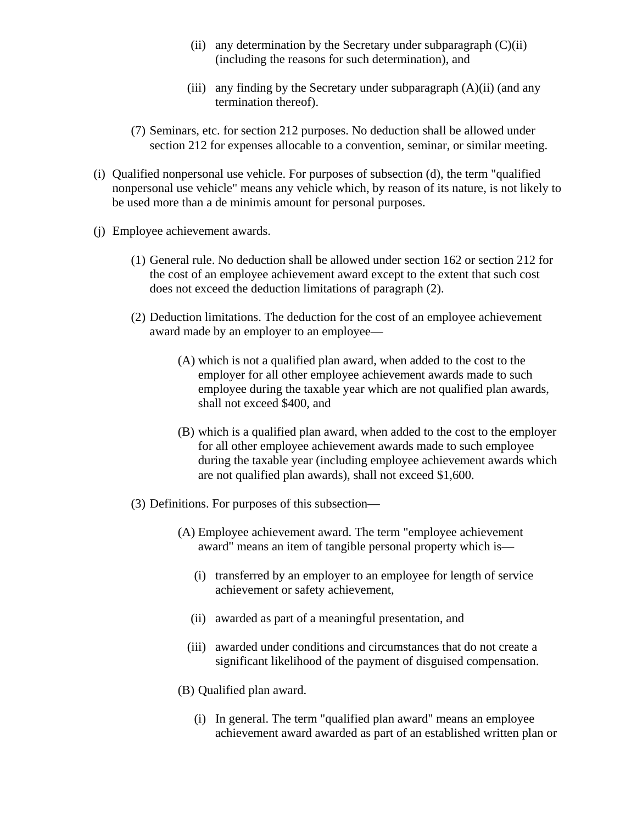- (ii) any determination by the Secretary under subparagraph  $(C)(ii)$ (including the reasons for such determination), and
- (iii) any finding by the Secretary under subparagraph  $(A)(ii)$  (and any termination thereof).
- (7) Seminars, etc. for section 212 purposes. No deduction shall be allowed under section 212 for expenses allocable to a convention, seminar, or similar meeting.
- (i) Qualified nonpersonal use vehicle. For purposes of subsection (d), the term "qualified nonpersonal use vehicle" means any vehicle which, by reason of its nature, is not likely to be used more than a de minimis amount for personal purposes.
- (j) Employee achievement awards.
	- (1) General rule. No deduction shall be allowed under section 162 or section 212 for the cost of an employee achievement award except to the extent that such cost does not exceed the deduction limitations of paragraph (2).
	- (2) Deduction limitations. The deduction for the cost of an employee achievement award made by an employer to an employee—
		- (A) which is not a qualified plan award, when added to the cost to the employer for all other employee achievement awards made to such employee during the taxable year which are not qualified plan awards, shall not exceed \$400, and
		- (B) which is a qualified plan award, when added to the cost to the employer for all other employee achievement awards made to such employee during the taxable year (including employee achievement awards which are not qualified plan awards), shall not exceed \$1,600.
	- (3) Definitions. For purposes of this subsection—
		- (A) Employee achievement award. The term "employee achievement award" means an item of tangible personal property which is—
			- (i) transferred by an employer to an employee for length of service achievement or safety achievement,
			- (ii) awarded as part of a meaningful presentation, and
			- (iii) awarded under conditions and circumstances that do not create a significant likelihood of the payment of disguised compensation.
		- (B) Qualified plan award.
			- (i) In general. The term "qualified plan award" means an employee achievement award awarded as part of an established written plan or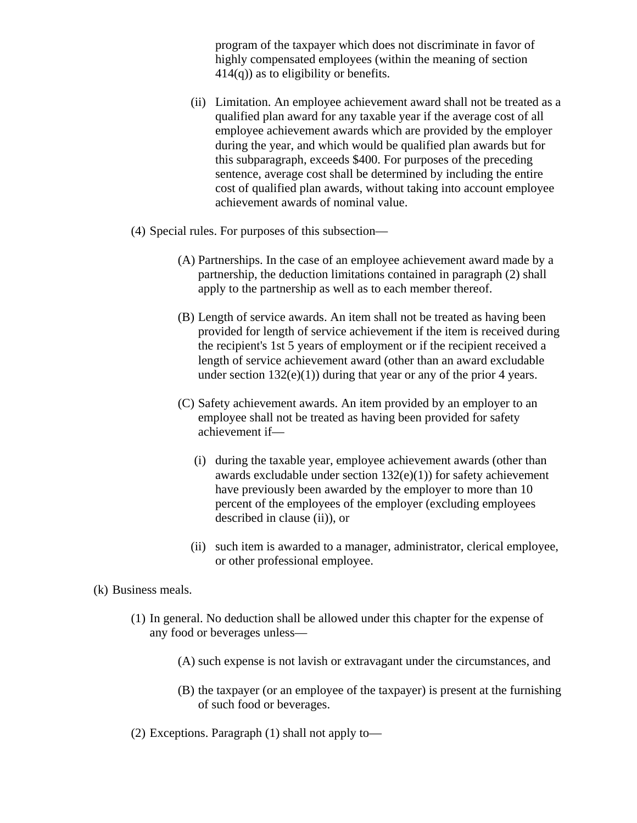program of the taxpayer which does not discriminate in favor of highly compensated employees (within the meaning of section  $414(q)$ ) as to eligibility or benefits.

- (ii) Limitation. An employee achievement award shall not be treated as a qualified plan award for any taxable year if the average cost of all employee achievement awards which are provided by the employer during the year, and which would be qualified plan awards but for this subparagraph, exceeds \$400. For purposes of the preceding sentence, average cost shall be determined by including the entire cost of qualified plan awards, without taking into account employee achievement awards of nominal value.
- (4) Special rules. For purposes of this subsection—
	- (A) Partnerships. In the case of an employee achievement award made by a partnership, the deduction limitations contained in paragraph (2) shall apply to the partnership as well as to each member thereof.
	- (B) Length of service awards. An item shall not be treated as having been provided for length of service achievement if the item is received during the recipient's 1st 5 years of employment or if the recipient received a length of service achievement award (other than an award excludable under section  $132(e)(1)$ ) during that year or any of the prior 4 years.
	- (C) Safety achievement awards. An item provided by an employer to an employee shall not be treated as having been provided for safety achievement if—
		- (i) during the taxable year, employee achievement awards (other than awards excludable under section 132(e)(1)) for safety achievement have previously been awarded by the employer to more than 10 percent of the employees of the employer (excluding employees described in clause (ii)), or
		- (ii) such item is awarded to a manager, administrator, clerical employee, or other professional employee.
- (k) Business meals.
	- (1) In general. No deduction shall be allowed under this chapter for the expense of any food or beverages unless—
		- (A) such expense is not lavish or extravagant under the circumstances, and
		- (B) the taxpayer (or an employee of the taxpayer) is present at the furnishing of such food or beverages.
	- (2) Exceptions. Paragraph (1) shall not apply to—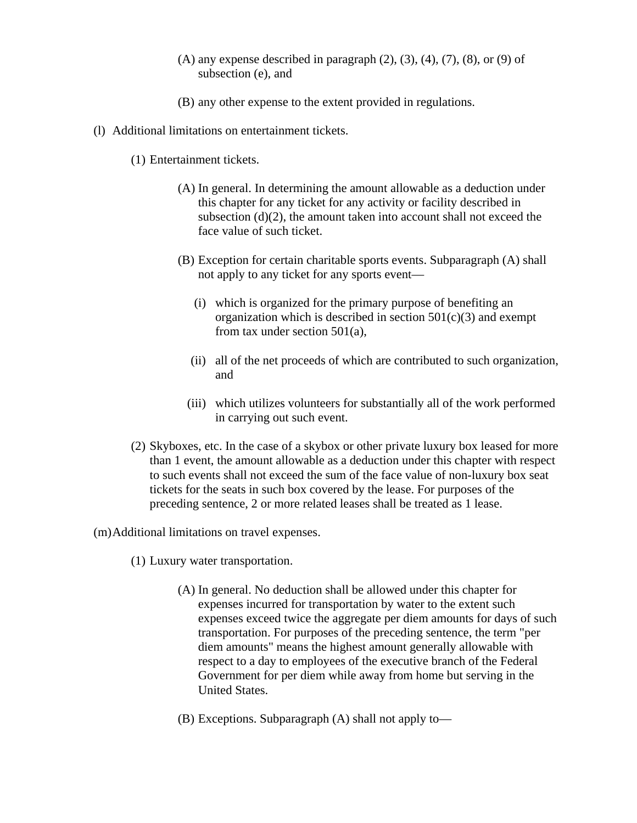- $(A)$  any expense described in paragraph  $(2)$ ,  $(3)$ ,  $(4)$ ,  $(7)$ ,  $(8)$ , or  $(9)$  of subsection (e), and
- (B) any other expense to the extent provided in regulations.
- (l) Additional limitations on entertainment tickets.
	- (1) Entertainment tickets.
		- (A) In general. In determining the amount allowable as a deduction under this chapter for any ticket for any activity or facility described in subsection (d)(2), the amount taken into account shall not exceed the face value of such ticket.
		- (B) Exception for certain charitable sports events. Subparagraph (A) shall not apply to any ticket for any sports event—
			- (i) which is organized for the primary purpose of benefiting an organization which is described in section  $501(c)(3)$  and exempt from tax under section 501(a),
			- (ii) all of the net proceeds of which are contributed to such organization, and
			- (iii) which utilizes volunteers for substantially all of the work performed in carrying out such event.
	- (2) Skyboxes, etc. In the case of a skybox or other private luxury box leased for more than 1 event, the amount allowable as a deduction under this chapter with respect to such events shall not exceed the sum of the face value of non-luxury box seat tickets for the seats in such box covered by the lease. For purposes of the preceding sentence, 2 or more related leases shall be treated as 1 lease.

(m)Additional limitations on travel expenses.

- (1) Luxury water transportation.
	- (A) In general. No deduction shall be allowed under this chapter for expenses incurred for transportation by water to the extent such expenses exceed twice the aggregate per diem amounts for days of such transportation. For purposes of the preceding sentence, the term "per diem amounts" means the highest amount generally allowable with respect to a day to employees of the executive branch of the Federal Government for per diem while away from home but serving in the United States.
	- (B) Exceptions. Subparagraph (A) shall not apply to—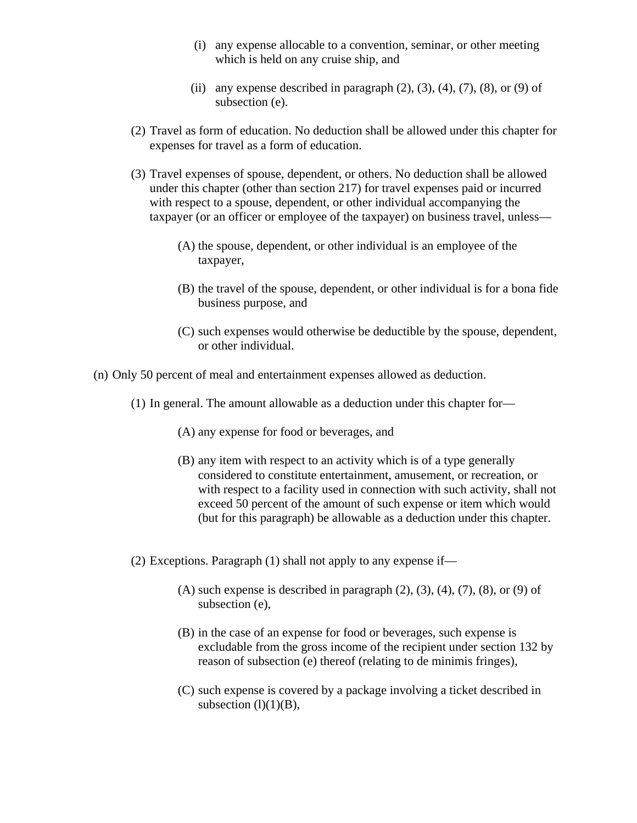- (i) any expense allocable to a convention, seminar, or other meeting which is held on any cruise ship, and
- (ii) any expense described in paragraph  $(2)$ ,  $(3)$ ,  $(4)$ ,  $(7)$ ,  $(8)$ , or  $(9)$  of subsection (e).
- (2) Travel as form of education. No deduction shall be allowed under this chapter for expenses for travel as a form of education.
- (3) Travel expenses of spouse, dependent, or others. No deduction shall be allowed under this chapter (other than section 217) for travel expenses paid or incurred with respect to a spouse, dependent, or other individual accompanying the taxpayer (or an officer or employee of the taxpayer) on business travel, unless—
	- (A) the spouse, dependent, or other individual is an employee of the taxpayer,
	- (B) the travel of the spouse, dependent, or other individual is for a bona fide business purpose, and
	- (C) such expenses would otherwise be deductible by the spouse, dependent, or other individual.
- (n) Only 50 percent of meal and entertainment expenses allowed as deduction.
	- (1) In general. The amount allowable as a deduction under this chapter for—
		- (A) any expense for food or beverages, and
		- (B) any item with respect to an activity which is of a type generally considered to constitute entertainment, amusement, or recreation, or with respect to a facility used in connection with such activity, shall not exceed 50 percent of the amount of such expense or item which would (but for this paragraph) be allowable as a deduction under this chapter.
	- (2) Exceptions. Paragraph (1) shall not apply to any expense if—
		- $(A)$  such expense is described in paragraph  $(2)$ ,  $(3)$ ,  $(4)$ ,  $(7)$ ,  $(8)$ , or  $(9)$  of subsection (e),
		- (B) in the case of an expense for food or beverages, such expense is excludable from the gross income of the recipient under section 132 by reason of subsection (e) thereof (relating to de minimis fringes),
		- (C) such expense is covered by a package involving a ticket described in subsection  $(l)(1)(B)$ ,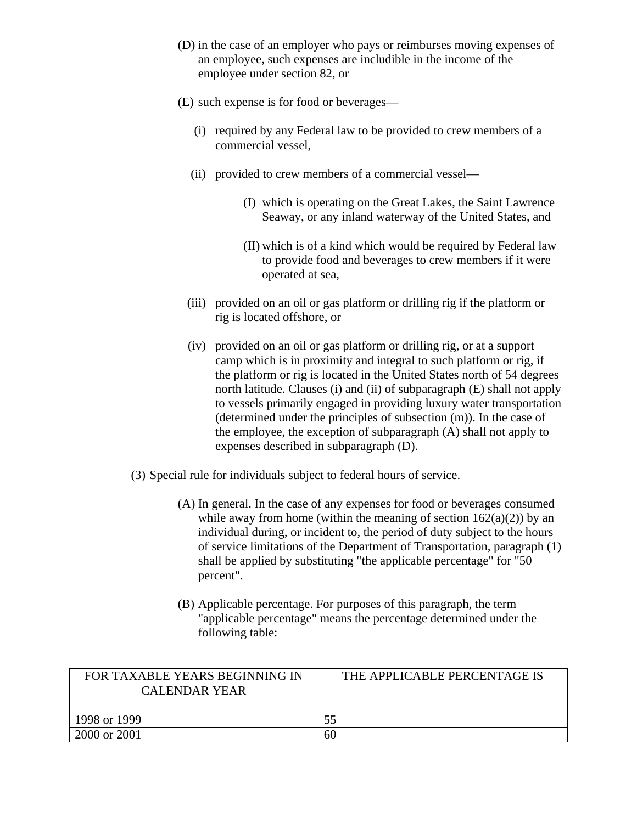- (D) in the case of an employer who pays or reimburses moving expenses of an employee, such expenses are includible in the income of the employee under section 82, or
- (E) such expense is for food or beverages—
	- (i) required by any Federal law to be provided to crew members of a commercial vessel,
	- (ii) provided to crew members of a commercial vessel—
		- (I) which is operating on the Great Lakes, the Saint Lawrence Seaway, or any inland waterway of the United States, and
		- (II) which is of a kind which would be required by Federal law to provide food and beverages to crew members if it were operated at sea,
	- (iii) provided on an oil or gas platform or drilling rig if the platform or rig is located offshore, or
	- (iv) provided on an oil or gas platform or drilling rig, or at a support camp which is in proximity and integral to such platform or rig, if the platform or rig is located in the United States north of 54 degrees north latitude. Clauses (i) and (ii) of subparagraph (E) shall not apply to vessels primarily engaged in providing luxury water transportation (determined under the principles of subsection (m)). In the case of the employee, the exception of subparagraph (A) shall not apply to expenses described in subparagraph (D).
- (3) Special rule for individuals subject to federal hours of service.
	- (A) In general. In the case of any expenses for food or beverages consumed while away from home (within the meaning of section  $162(a)(2)$ ) by an individual during, or incident to, the period of duty subject to the hours of service limitations of the Department of Transportation, paragraph (1) shall be applied by substituting "the applicable percentage" for "50 percent".
	- (B) Applicable percentage. For purposes of this paragraph, the term "applicable percentage" means the percentage determined under the following table:

| FOR TAXABLE YEARS BEGINNING IN<br>CALENDAR YEAR | THE APPLICABLE PERCENTAGE IS |
|-------------------------------------------------|------------------------------|
| 1998 or 1999                                    | 55                           |
| 2000 or 2001                                    | 60                           |